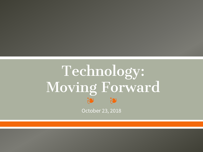# Technology: Moving Forward 29

October 23, 2018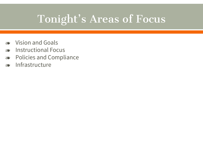# Tonight's Areas of Focus

- ❧ Vision and Goals
- ❧ Instructional Focus
- ❧ Policies and Compliance
- ❧ Infrastructure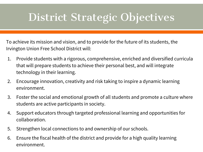# District Strategic Objectives

To achieve its mission and vision, and to provide for the future of its students, the Irvington Union Free School District will:

- 1. Provide students with a rigorous, comprehensive, enriched and diversified curricula that will prepare students to achieve their personal best, and will integrate technology in their learning.
- 2. Encourage innovation, creativity and risk taking to inspire a dynamic learning environment.
- 3. Foster the social and emotional growth of all students and promote a culture where students are active participants in society.
- 4. Support educators through targeted professional learning and opportunities for collaboration.
- 5. Strengthen local connections to and ownership of our schools.
- 6. Ensure the fiscal health of the district and provide for a high quality learning environment.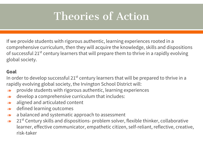# Theories of Action

If we provide students with rigorous authentic, learning experiences rooted in a comprehensive curriculum, then they will acquire the knowledge, skills and dispositions of successful 21<sup>st</sup> century learners that will prepare them to thrive in a rapidly evolving global society.

#### **Goal**

In order to develop successful  $21^{st}$  century learners that will be prepared to thrive in a rapidly evolving global society, the Irvington School District will:

- ❧ provide students with rigorous authentic, learning experiences
- ❧ develop a comprehensive curriculum that includes:
- ❧ aligned and articulated content
- ❧ defined learning outcomes
- ❧ a balanced and systematic approach to assessment
- $\approx 21$ <sup>st</sup> Century skills and dispositions- problem solver, flexible thinker, collaborative learner, effective communicator, empathetic citizen, self-reliant, reflective, creative, risk-taker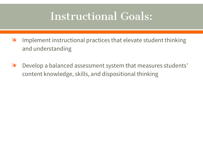# Instructional Goals:

- ❧ Implement instructional practices that elevate student thinking and understanding
- ❧ Develop a balanced assessment system that measures students' content knowledge, skills, and dispositional thinking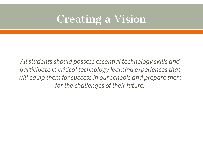# Creating a Vision

*All students should possess essential technology skills and participate in critical technology learning experiences that will equip them for success in our schools and prepare them for the challenges of their future.*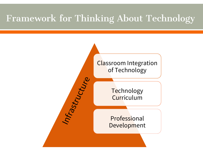## Framework for Thinking About Technology

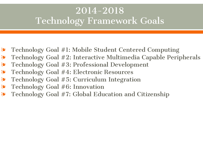## 2014-2018 Technology Framework Goals

- ❧ Technology Goal #1: Mobile Student Centered Computing
- ❧ Technology Goal #2: Interactive Multimedia Capable Peripherals
- ❧ Technology Goal #3: Professional Development
- ❧ Technology Goal #4: Electronic Resources
- ❧ Technology Goal #5: Curriculum Integration
- ❧ Technology Goal #6: Innovation
- ❧ Technology Goal #7: Global Education and Citizenship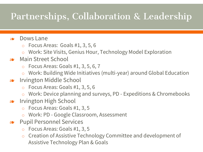# Partnerships, Collaboration & Leadership

### ❧ Dows Lane

- o Focus Areas: Goals #1, 3, 5, 6
- o Work: Site Visits, Genius Hour, Technology Model Exploration

### ❧ Main Street School

- $\circ$  Focus Areas: Goals #1, 3, 5, 6, 7
- o Work: Building Wide Initiatives (multi-year) around Global Education
- ❧ Irvington Middle School
	- o Focus Areas: Goals #1, 3, 5, 6
	- Work: Device planning and surveys, PD Expeditions & Chromebooks
- ❧ Irvington High School
	- o Focus Areas: Goals #1, 3, 5
	- Work: PD Google Classroom, Assessment
- ❧ Pupil Personnel Services
	- o Focus Areas: Goals #1, 3, 5
	- o Creation of Assistive Technology Committee and development of Assistive Technology Plan & Goals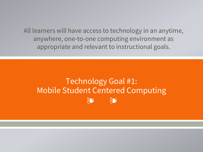All learners will have access to technology in an anytime, anywhere, one-to-one computing environment as appropriate and relevant to instructional goals.

#### Technology Goal #1: **Mobile Student Centered Computing** 25 70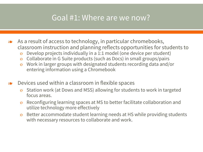### Goal #1: Where are we now?

- ❧ As a result of access to technology, in particular chromebooks, classroom instruction and planning reflects opportunities for students to
	- o Develop projects individually in a 1:1 model (one device per student)
	- o Collaborate in G Suite products (such as Docs) in small groups/pairs
	- o Work in larger groups with designated students recording data and/or entering information using a Chromebook
- ❧ Devices used within a classroom in flexible spaces
	- o Station work (at Dows and MSS) allowing for students to work in targeted focus areas.
	- o Reconfiguring learning spaces at MS to better facilitate collaboration and utilize technology more effectively
	- o Better accommodate student learning needs at HS while providing students with necessary resources to collaborate and work.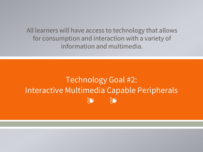All learners will have access to technology that allows for consumption and interaction with a variety of information and multimedia.

### **Technology Goal #2:** Interactive Multimedia Capable Peripherals 20 20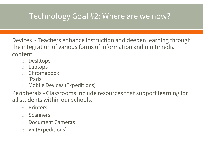## Technology Goal #2: Where are we now?

Devices - Teachers enhance instruction and deepen learning through the integration of various forms of information and multimedia content.

- o Desktops
- o Laptops
- o Chromebook
- o iPads
- o Mobile Devices (Expeditions)

Peripherals - Classrooms include resources that support learning for all students within our schools.

- o Printers
- o Scanners
- o Document Cameras
- o VR (Expeditions)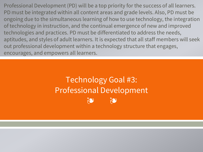Professional Development (PD) will be a top priority for the success of all learners. PD must be integrated within all content areas and grade levels. Also, PD must be ongoing due to the simultaneous learning of how to use technology, the integration of technology in instruction, and the continual emergence of new and improved technologies and practices. PD must be differentiated to address the needs, aptitudes, and styles of adult learners. It is expected that all staff members will seek out professional development within a technology structure that engages, encourages, and empowers all learners.

## ❧ ❧ Technology Goal #3: Professional Development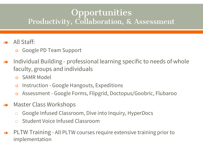### **Opportunities** Productivity, Collaboration, & Assessment

- ❧ All Staff:
	- o Google PD Team Support
- ❧ Individual Building professional learning specific to needs of whole faculty, groups and individuals
	- o SAMR Model
	- o Instruction Google Hangouts, Expeditions
	- o Assessment Google Forms, Flipgrid, Doctopus/Goobric, Flubaroo
- ❧ Master Class Workshops
	- o Google Infused Classroom, Dive into Inquiry, HyperDocs
	- o Student Voice Infused Classroom
- ❧ PLTW Training All PLTW courses require extensive training prior to implementation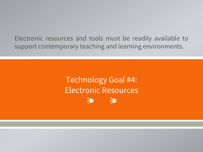Electronic resources and tools must be readily available to support contemporary teaching and learning environments.

> **Technology Goal #4: Electronic Resources** 20 70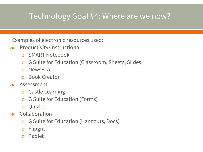### Technology Goal #4: Where are we now?

Examples of electronic resources used:

- ❧ Productivity/Instructional
	- o SMART Notebook
	- o G Suite for Education (Classroom, Sheets, Slides)
	- o NewsELA
	- o Book Creator
- ❧ Assessment
	- o Castle Learning
	- o G Suite for Education (Forms)
	- o Quizlet
- ❧ Collaboration
	- o G Suite for Education (Hangouts, Docs)
	- o Flipgrid
	- o Padlet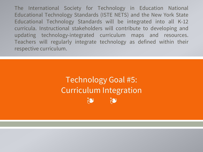The International Society for Technology in Education National Educational Technology Standards (ISTE NETS) and the New York State Educational Technology Standards will be integrated into all K-12 curricula. Instructional stakeholders will contribute to developing and updating technology-integrated curriculum maps and resources. Teachers will regularly integrate technology as defined within their respective curriculum.

## ❧ ❧ Technology Goal #5: Curriculum Integration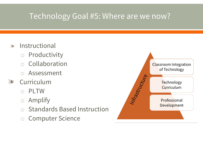### Technology Goal #5: Where are we now?

- ❧ Instructional
	- o Productivity
	- o Collaboration
	- Assessment
- ❧ Curriculum
	- **PLTW**
	- o Amplify
	- o Standards Based Instruction
	- o Computer Science

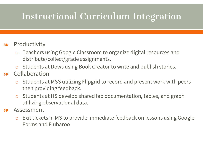## Instructional Curriculum Integration

### ❧ Productivity

- o Teachers using Google Classroom to organize digital resources and distribute/collect/grade assignments.
- o Students at Dows using Book Creator to write and publish stories.
- ❧ Collaboration
	- o Students at MSS utilizing Flipgrid to record and present work with peers then providing feedback.
	- o Students at HS develop shared lab documentation, tables, and graph utilizing observational data.
- ❧ Assessment
	- o Exit tickets in MS to provide immediate feedback on lessons using Google Forms and Flubaroo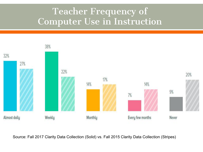## Teacher Frequency of Computer Use in Instruction



Source: Fall 2017 Clarity Data Collection (Solid) vs. Fall 2015 Clarity Data Collection (Stripes)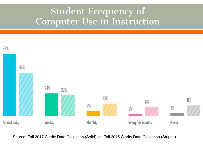## Student Frequency of Computer Use in Instruction



Source: Fall 2017 Clarity Data Collection (Solid) vs. Fall 2015 Clarity Data Collection (Stripes)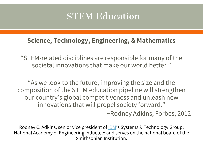## STEM Education

### **Science, Technology, Engineering, & Mathematics**

"STEM-related disciplines are responsible for many of the societal innovations that make our world better."

"As we look to the future, improving the size and the composition of the STEM education pipeline will strengthen our country's global competitiveness and unleash new innovations that will propel society forward."

~Rodney Adkins, Forbes, 2012

Rodney C. Adkins, senior vice president of **[IBM](http://www.forbes.com/companies/ibm/)**'s Systems & Technology Group; National Academy of Engineering inductee; and serves on the national board of the Smithsonian Institution.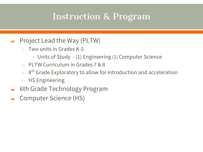## Instruction & Program

- ❧ Project Lead the Way (PLTW)
	- $\circ$  Two units in Grades K-5
		- Units of Study (1) Engineering (1) Computer Science
	- o PLTW Curriculum in Grades 7 & 8
	- $\circ$  8<sup>th</sup> Grade Exploratory to allow for introduction and acceleration
	- o HS Engineering
- ❧ 6th Grade Technology Program
- ❧ Computer Science (HS)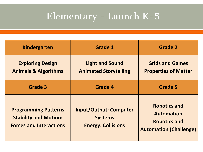# Elementary - Launch K-5

| <b>Kindergarten</b>                                                                           | <b>Grade 1</b>                                                               | <b>Grade 2</b>                                                                                   |
|-----------------------------------------------------------------------------------------------|------------------------------------------------------------------------------|--------------------------------------------------------------------------------------------------|
| <b>Exploring Design</b><br><b>Animals &amp; Algorithms</b>                                    | <b>Light and Sound</b><br><b>Animated Storytelling</b>                       | <b>Grids and Games</b><br><b>Properties of Matter</b>                                            |
| Grade 3                                                                                       | <b>Grade 4</b>                                                               | <b>Grade 5</b>                                                                                   |
| <b>Programming Patterns</b><br><b>Stability and Motion:</b><br><b>Forces and Interactions</b> | <b>Input/Output: Computer</b><br><b>Systems</b><br><b>Energy: Collisions</b> | <b>Robotics and</b><br><b>Automation</b><br><b>Robotics and</b><br><b>Automation (Challenge)</b> |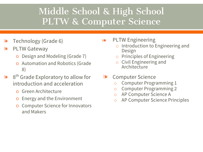## Middle School & High School PLTW & Computer Science

- ❧ Technology (Grade 6)
- ❧ PLTW Gateway
	- o Design and Modeling (Grade 7)
	- o Automation and Robotics (Grade 8)
- ❧ 8 th Grade Exploratory to allow for introduction and acceleration
	- Green Architecture
	- o Energy and the Environment
	- **Computer Science for Innovators** and Makers
- ❧ PLTW Engineering
	- o Introduction to Engineering and Design
	- o Principles of Engineering
	- o Civil Engineering and **Architecture**
- ❧ Computer Science
	- o Computer Programming 1
	- o Computer Programming 2
	- o AP Computer Science A
	- o AP Computer Science Principles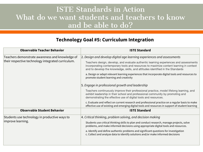### ISTE Standards in Action What do we want students and teachers to know and be able to do?

#### **Technology Goal #5: Curriculum Integration**

| <b>Observable Teacher Behavior</b>                                                                    | <b>ISTE Standard</b>                                                                                                                                                                                                                                               |
|-------------------------------------------------------------------------------------------------------|--------------------------------------------------------------------------------------------------------------------------------------------------------------------------------------------------------------------------------------------------------------------|
| Teachers demonstrate awareness and knowledge of<br>their respective technology integrated curriculum. | 2. Design and develop digital age learning experiences and assessments                                                                                                                                                                                             |
|                                                                                                       | Teachers design, develop, and evaluate authentic learning experiences and assessments<br>incorporating contemporary tools and resources to maximize content learning in context<br>and to develop the knowledge, skills, and attitudes identified in the Standards |
|                                                                                                       | a. Design or adapt relevant learning experiences that incorporate digital tools and resources to<br>promote student learning and creativity                                                                                                                        |
|                                                                                                       | 5. Engage in professional growth and leadership                                                                                                                                                                                                                    |
|                                                                                                       | Teachers continuously improve their professional practice, model lifelong learning, and<br>exhibit leadership in their school and professional community by promoting and<br>demonstrating the effective use of digital tools and resources.                       |
|                                                                                                       | c. Evaluate and reflect on current research and professional practice on a regular basis to make<br>effective use of existing and emerging digital tools and resources in support of student learning                                                              |
| <b>Observable Student Behavior</b>                                                                    | <b>ISTE Standard</b>                                                                                                                                                                                                                                               |
| Students use technology in productive ways to<br>improve learning.                                    | 4. Critical thinking, problem solving, and decision making                                                                                                                                                                                                         |
|                                                                                                       | Students use critical thinking skills to plan and conduct research, manage projects, solve<br>problems, and make informed decisions using appropriate digital tools and resources.                                                                                 |
|                                                                                                       | a. Identify and define authentic problems and significant questions for investigation<br>c. Collect and analyze data to identify solutions and/or make informed decisions                                                                                          |
|                                                                                                       |                                                                                                                                                                                                                                                                    |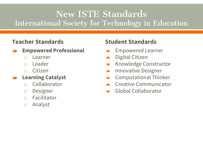## New ISTE Standards International Society for Technology in Education

### **Teacher Standards**

#### ❧ **Empowered Professional**

- o Learner
- o Leader
- o Citizen

#### ❧ **Learning Catalyst**

- o Collaborator
- o Designer
- o Facilitator
- o Analyst

### **Student Standards**

- ❧ Empowered Learner
- ❧ Digital Citizen
- ❧ Knowledge Constructor
- ❧ Innovative Designer
- ❧ Computational Thinker
- ❧ Creative Communicator
- ❧ Global Collaborator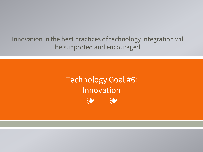Innovation in the best practices of technology integration will be supported and encouraged.

#### **Technology Goal #6:** Innovation 20 20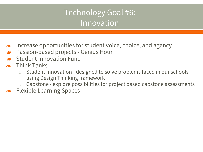## Technology Goal #6: Innovation

- ❧ Increase opportunities for student voice, choice, and agency
- ❧ Passion-based projects Genius Hour
- ❧ Student Innovation Fund
- ❧ Think Tanks
	- Student Innovation designed to solve problems faced in our schools using Design Thinking framework
	- Capstone explore possibilities for project based capstone assessments
- ❧ Flexible Learning Spaces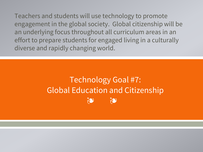Teachers and students will use technology to promote engagement in the global society. Global citizenship will be an underlying focus throughout all curriculum areas in an effort to prepare students for engaged living in a culturally diverse and rapidly changing world.

## ❧ ❧ Technology Goal #7: Global Education and Citizenship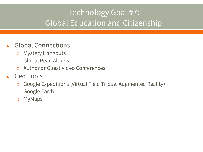## Technology Goal #7: Global Education and Citizenship

### ❧ Global Connections

- o Mystery Hangouts
- o Global Read Alouds
- o Author or Guest Video Conferences
- ❧ Geo Tools
	- o Google Expeditions (Virtual Field Trips & Augmented Reality)
	- o Google Earth
	- o MyMaps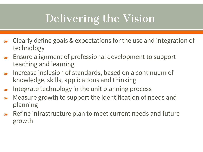# Delivering the Vision

- ❧ Clearly define goals & expectations for the use and integration of technology
- ❧ Ensure alignment of professional development to support teaching and learning
- ❧ Increase inclusion of standards, based on a continuum of knowledge, skills, applications and thinking
- ❧ Integrate technology in the unit planning process
- ❧ Measure growth to support the identification of needs and planning
- ❧ Refine infrastructure plan to meet current needs and future growth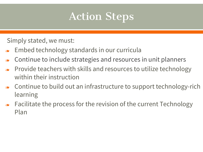# Action Steps

Simply stated, we must:

- ❧ Embed technology standards in our curricula
- ❧ Continue to include strategies and resources in unit planners
- ❧ Provide teachers with skills and resources to utilize technology within their instruction
- ❧ Continue to build out an infrastructure to support technology-rich learning
- ❧ Facilitate the process for the revision of the current Technology Plan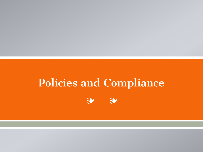# **Policies and Compliance**

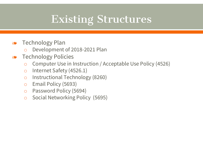# Existing Structures

- ❧ Technology Plan
	- o Development of 2018-2021 Plan
- ❧ Technology Policies
	- o Computer Use in Instruction / Acceptable Use Policy (4526)
	- o Internet Safety (4526.1)
	- o Instructional Technology (8260)
	- o Email Policy (5693)
	- o Password Policy (5694)
	- o Social Networking Policy (5695)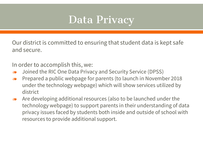# Data Privacy

Our district is committed to ensuring that student data is kept safe and secure.

In order to accomplish this, we:

- ❧ Joined the RIC One Data Privacy and Security Service (DPSS)
- ❧ Prepared a public webpage for parents (to launch in November 2018 under the technology webpage) which will show services utilized by district
- ❧ Are developing additional resources (also to be launched under the technology webpage) to support parents in their understanding of data privacy issues faced by students both inside and outside of school with resources to provide additional support.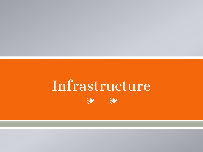### Infrastructure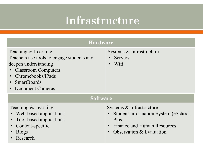# Infrastructure

| <b>Hardware</b>                                                                                                                                                                                                         |                                                                                                                                             |  |  |
|-------------------------------------------------------------------------------------------------------------------------------------------------------------------------------------------------------------------------|---------------------------------------------------------------------------------------------------------------------------------------------|--|--|
| Teaching & Learning<br>Teachers use tools to engage students and<br>deepen understanding<br>• Classroom Computers<br>Chromebooks/iPads<br>$\bullet$<br><b>SmartBoards</b><br>$\bullet$<br>Document Cameras<br>$\bullet$ | Systems & Infrastructure<br><b>Servers</b><br>Wifi                                                                                          |  |  |
| <b>Software</b>                                                                                                                                                                                                         |                                                                                                                                             |  |  |
| Teaching & Learning<br>• Web-based applications<br>Tool-based applications<br>Content-specific<br><b>Blogs</b><br>Research                                                                                              | Systems & Infrastructure<br><b>Student Information System (eSchool)</b><br>Plus)<br>Finance and Human Resources<br>Observation & Evaluation |  |  |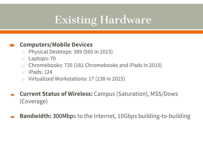# Existing Hardware

#### ❧ **Computers/Mobile Devices**

- o Physical Desktops: 389 (560 in 2015)
- o Laptops: 70
- o Chromebooks: 735 (181 Chromebooks and iPads in 2015)
- $\circ$  iPads: 124
- o Virtualized Workstations: 17 (138 in 2015)
- ❧ **Current Status of Wireless:** Campus (Saturation), MSS/Dows (Coverage)
- ❧ **Bandwidth:** 300Mbps to the Internet, 10Gbps building-to-building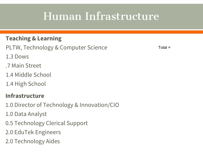# Human Infrastructure

### **Teaching & Learning**

PLTW, Technology & Computer Science

Total =

- 1.3 Dows
- .7 Main Street
- 1.4 Middle School
- 1.4 High School

### **Infrastructure**

- 1.0 Director of Technology & Innovation/CIO
- 1.0 Data Analyst
- 0.5 Technology Clerical Support
- 2.0 EduTek Engineers
- 2.0 Technology Aides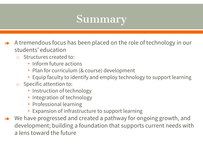# Summary

- ❧ A tremendous focus has been placed on the role of technology in our students' education
	- o Structures created to:
		- Inform future actions
		- Plan for curriculum (& course) development
		- Equip faculty to identify and employ technology to support learning
	- o Specific attention to:
		- Instruction of technology
		- Integration of technology
		- Professional learning
		- Expansion of infrastructure to support learning
- ❧ We have progressed and created a pathway for ongoing growth, and development; building a foundation that supports current needs with a lens toward the future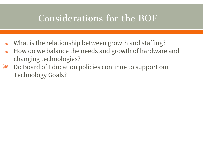## Considerations for the BOE

- ❧ What is the relationship between growth and staffing?
- ❧ How do we balance the needs and growth of hardware and changing technologies?
- ❧ Do Board of Education policies continue to support our Technology Goals?